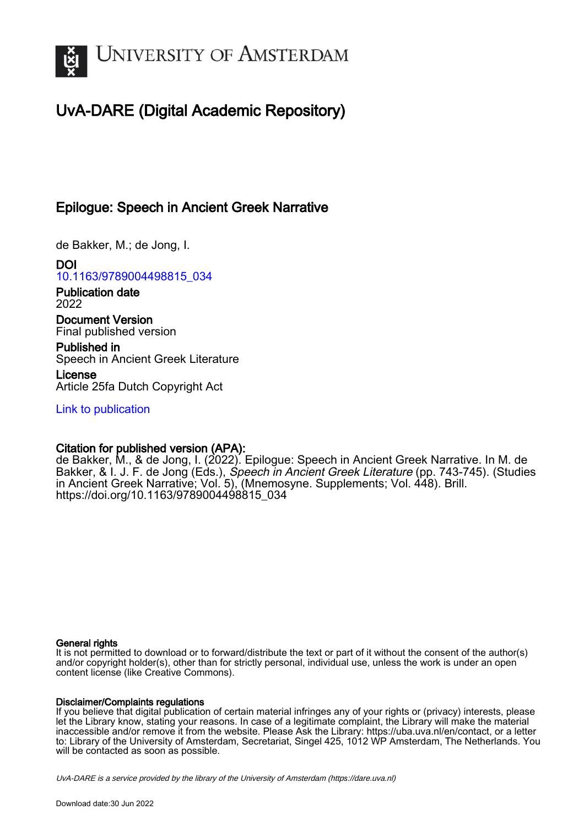

# UvA-DARE (Digital Academic Repository)

# Epilogue: Speech in Ancient Greek Narrative

de Bakker, M.; de Jong, I.

DOI [10.1163/9789004498815\\_034](https://doi.org/10.1163/9789004498815_034)

Publication date 2022

Document Version Final published version

Published in Speech in Ancient Greek Literature

License Article 25fa Dutch Copyright Act

[Link to publication](https://dare.uva.nl/personal/pure/en/publications/epilogue-speech-in-ancient-greek-narrative(aa6f7c34-75d1-468f-94b0-677d17f5f234).html)

### Citation for published version (APA):

de Bakker, M., & de Jong, I. (2022). Epilogue: Speech in Ancient Greek Narrative. In M. de Bakker, & I. J. F. de Jong (Eds.), *Speech in Ancient Greek Literature* (pp. 743-745). (Studies in Ancient Greek Narrative; Vol. 5), (Mnemosyne. Supplements; Vol. 448). Brill. [https://doi.org/10.1163/9789004498815\\_034](https://doi.org/10.1163/9789004498815_034)

### General rights

It is not permitted to download or to forward/distribute the text or part of it without the consent of the author(s) and/or copyright holder(s), other than for strictly personal, individual use, unless the work is under an open content license (like Creative Commons).

### Disclaimer/Complaints regulations

If you believe that digital publication of certain material infringes any of your rights or (privacy) interests, please let the Library know, stating your reasons. In case of a legitimate complaint, the Library will make the material inaccessible and/or remove it from the website. Please Ask the Library: https://uba.uva.nl/en/contact, or a letter to: Library of the University of Amsterdam, Secretariat, Singel 425, 1012 WP Amsterdam, The Netherlands. You will be contacted as soon as possible.

UvA-DARE is a service provided by the library of the University of Amsterdam (http*s*://dare.uva.nl)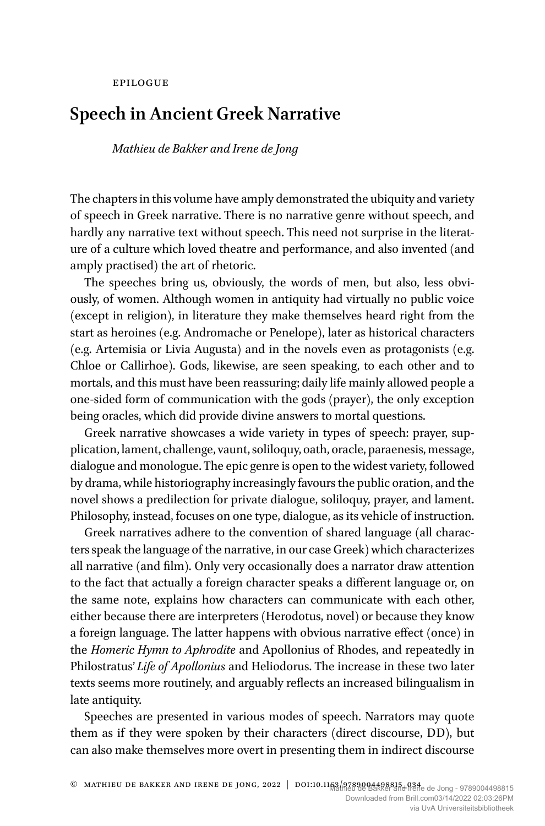#### epilogue

## **Speech in Ancient Greek Narrative**

#### *Mathieu de Bakker and Irene de Jong*

The chapters in this volume have amply demonstrated the ubiquity and variety of speech in Greek narrative. There is no narrative genre without speech, and hardly any narrative text without speech. This need not surprise in the literature of a culture which loved theatre and performance, and also invented (and amply practised) the art of rhetoric.

The speeches bring us, obviously, the words of men, but also, less obviously, of women. Although women in antiquity had virtually no public voice (except in religion), in literature they make themselves heard right from the start as heroines (e.g. Andromache or Penelope), later as historical characters (e.g. Artemisia or Livia Augusta) and in the novels even as protagonists (e.g. Chloe or Callirhoe). Gods, likewise, are seen speaking, to each other and to mortals, and this must have been reassuring; daily life mainly allowed people a one-sided form of communication with the gods (prayer), the only exception being oracles, which did provide divine answers to mortal questions.

Greek narrative showcases a wide variety in types of speech: prayer, supplication, lament, challenge, vaunt, soliloquy, oath, oracle, paraenesis, message, dialogue and monologue. The epic genre is open to the widest variety, followed by drama, while historiography increasingly favours the public oration, and the novel shows a predilection for private dialogue, soliloquy, prayer, and lament. Philosophy, instead, focuses on one type, dialogue, as its vehicle of instruction.

Greek narratives adhere to the convention of shared language (all characters speak the language of the narrative, in our case Greek) which characterizes all narrative (and film). Only very occasionally does a narrator draw attention to the fact that actually a foreign character speaks a different language or, on the same note, explains how characters can communicate with each other, either because there are interpreters (Herodotus, novel) or because they know a foreign language. The latter happens with obvious narrative effect (once) in the *Homeric Hymn to Aphrodite* and Apollonius of Rhodes, and repeatedly in Philostratus' *Life of Apollonius* and Heliodorus. The increase in these two later texts seems more routinely, and arguably reflects an increased bilingualism in late antiquity.

Speeches are presented in various modes of speech. Narrators may quote them as if they were spoken by their characters (direct discourse, DD), but can also make themselves more overt in presenting them in indirect discourse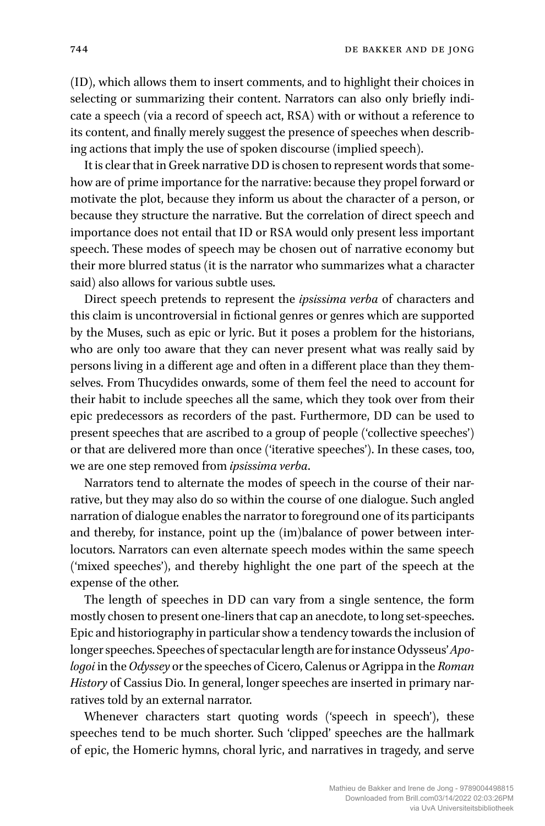(ID), which allows them to insert comments, and to highlight their choices in selecting or summarizing their content. Narrators can also only briefly indicate a speech (via a record of speech act, RSA) with or without a reference to its content, and finally merely suggest the presence of speeches when describing actions that imply the use of spoken discourse (implied speech).

It is clear that in Greek narrative DD is chosen to represent words that somehow are of prime importance for the narrative: because they propel forward or motivate the plot, because they inform us about the character of a person, or because they structure the narrative. But the correlation of direct speech and importance does not entail that ID or RSA would only present less important speech. These modes of speech may be chosen out of narrative economy but their more blurred status (it is the narrator who summarizes what a character said) also allows for various subtle uses.

Direct speech pretends to represent the *ipsissima verba* of characters and this claim is uncontroversial in fictional genres or genres which are supported by the Muses, such as epic or lyric. But it poses a problem for the historians, who are only too aware that they can never present what was really said by persons living in a different age and often in a different place than they themselves. From Thucydides onwards, some of them feel the need to account for their habit to include speeches all the same, which they took over from their epic predecessors as recorders of the past. Furthermore, DD can be used to present speeches that are ascribed to a group of people ('collective speeches') or that are delivered more than once ('iterative speeches'). In these cases, too, we are one step removed from *ipsissima verba*.

Narrators tend to alternate the modes of speech in the course of their narrative, but they may also do so within the course of one dialogue. Such angled narration of dialogue enables the narrator to foreground one of its participants and thereby, for instance, point up the (im)balance of power between interlocutors. Narrators can even alternate speech modes within the same speech ('mixed speeches'), and thereby highlight the one part of the speech at the expense of the other.

The length of speeches in DD can vary from a single sentence, the form mostly chosen to present one-liners that cap an anecdote, to long set-speeches. Epic and historiography in particular show a tendency towards the inclusion of longer speeches. Speeches of spectacular length are for instance Odysseus'*Apologoi* in the*Odyssey* or the speeches of Cicero, Calenus or Agrippa in the *Roman History* of Cassius Dio. In general, longer speeches are inserted in primary narratives told by an external narrator.

Whenever characters start quoting words ('speech in speech'), these speeches tend to be much shorter. Such 'clipped' speeches are the hallmark of epic, the Homeric hymns, choral lyric, and narratives in tragedy, and serve